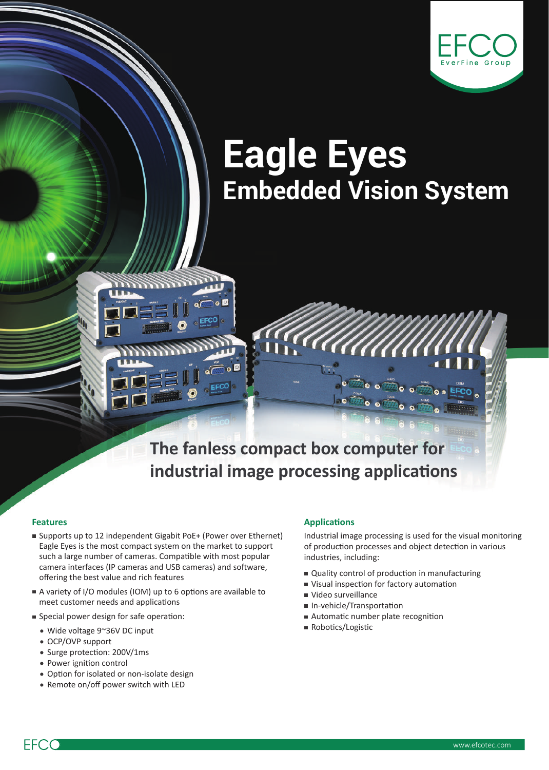

# **Eagle Eyes Embedded Vision System**

**The fanless compact box computer for industrial image processing applications**

- Supports up to 12 independent Gigabit PoE+ (Power over Ethernet) Eagle Eyes is the most compact system on the market to support such a large number of cameras. Compatible with most popular camera interfaces (IP cameras and USB cameras) and software, offering the best value and rich features
- A variety of I/O modules (IOM) up to 6 options are available to meet customer needs and applications
- Special power design for safe operation:
	- Wide voltage 9~36V DC input
	- OCP/OVP support
	- Surge protection: 200V/1ms
	- Power ignition control
	- Option for isolated or non-isolate design
	- Remote on/off power switch with LED

#### **Features Applications**

Industrial image processing is used for the visual monitoring of production processes and object detection in various industries, including:

- Quality control of production in manufacturing
- Visual inspection for factory automation

 $\bullet$  of  $\overline{\bullet}$ 

- Video surveillance
- In-vehicle/Transportation
- Automatic number plate recognition
- Robotics/Logistic

**EFCC**